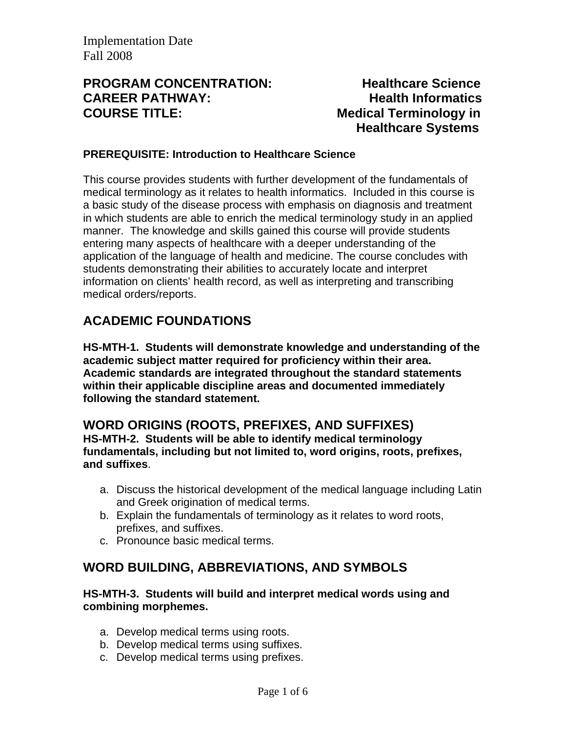## **PROGRAM CONCENTRATION: Healthcare Science CAREER PATHWAY: Health Informatics COURSE TITLE:** Medical Terminology in

 **Healthcare Systems** 

#### **PREREQUISITE: Introduction to Healthcare Science**

This course provides students with further development of the fundamentals of medical terminology as it relates to health informatics. Included in this course is a basic study of the disease process with emphasis on diagnosis and treatment in which students are able to enrich the medical terminology study in an applied manner. The knowledge and skills gained this course will provide students entering many aspects of healthcare with a deeper understanding of the application of the language of health and medicine. The course concludes with students demonstrating their abilities to accurately locate and interpret information on clients' health record, as well as interpreting and transcribing medical orders/reports.

# **ACADEMIC FOUNDATIONS**

**HS-MTH-1. Students will demonstrate knowledge and understanding of the academic subject matter required for proficiency within their area. Academic standards are integrated throughout the standard statements within their applicable discipline areas and documented immediately following the standard statement.** 

## **WORD ORIGINS (ROOTS, PREFIXES, AND SUFFIXES)**

**HS-MTH-2. Students will be able to identify medical terminology fundamentals, including but not limited to, word origins, roots, prefixes, and suffixes**.

- a. Discuss the historical development of the medical language including Latin and Greek origination of medical terms.
- b. Explain the fundamentals of terminology as it relates to word roots, prefixes, and suffixes.
- c. Pronounce basic medical terms.

# **WORD BUILDING, ABBREVIATIONS, AND SYMBOLS**

#### **HS-MTH-3. Students will build and interpret medical words using and combining morphemes.**

- a. Develop medical terms using roots.
- b. Develop medical terms using suffixes.
- c. Develop medical terms using prefixes.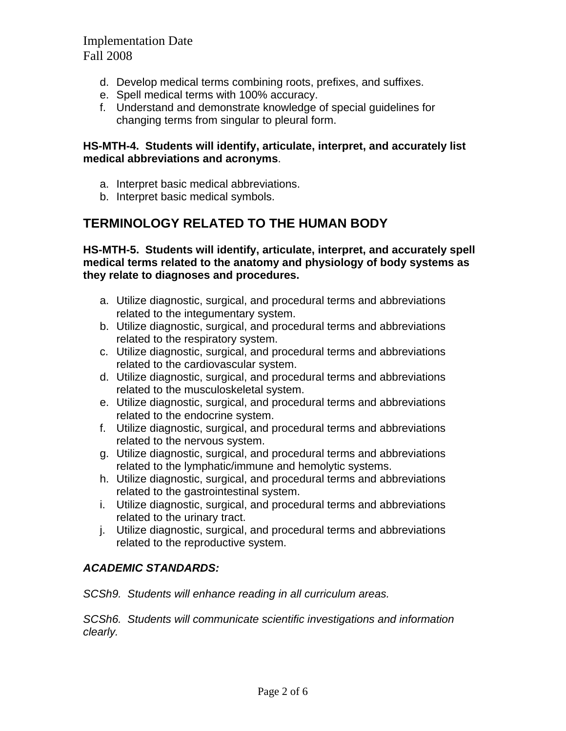- d. Develop medical terms combining roots, prefixes, and suffixes.
- e. Spell medical terms with 100% accuracy.
- f. Understand and demonstrate knowledge of special guidelines for changing terms from singular to pleural form.

#### **HS-MTH-4. Students will identify, articulate, interpret, and accurately list medical abbreviations and acronyms**.

- a. Interpret basic medical abbreviations.
- b. Interpret basic medical symbols.

## **TERMINOLOGY RELATED TO THE HUMAN BODY**

**HS-MTH-5. Students will identify, articulate, interpret, and accurately spell medical terms related to the anatomy and physiology of body systems as they relate to diagnoses and procedures.** 

- a. Utilize diagnostic, surgical, and procedural terms and abbreviations related to the integumentary system.
- b. Utilize diagnostic, surgical, and procedural terms and abbreviations related to the respiratory system.
- c. Utilize diagnostic, surgical, and procedural terms and abbreviations related to the cardiovascular system.
- d. Utilize diagnostic, surgical, and procedural terms and abbreviations related to the musculoskeletal system.
- e. Utilize diagnostic, surgical, and procedural terms and abbreviations related to the endocrine system.
- f. Utilize diagnostic, surgical, and procedural terms and abbreviations related to the nervous system.
- g. Utilize diagnostic, surgical, and procedural terms and abbreviations related to the lymphatic/immune and hemolytic systems.
- h. Utilize diagnostic, surgical, and procedural terms and abbreviations related to the gastrointestinal system.
- i. Utilize diagnostic, surgical, and procedural terms and abbreviations related to the urinary tract.
- j. Utilize diagnostic, surgical, and procedural terms and abbreviations related to the reproductive system.

#### *ACADEMIC STANDARDS:*

*SCSh9. Students will enhance reading in all curriculum areas.* 

*SCSh6. Students will communicate scientific investigations and information clearly.*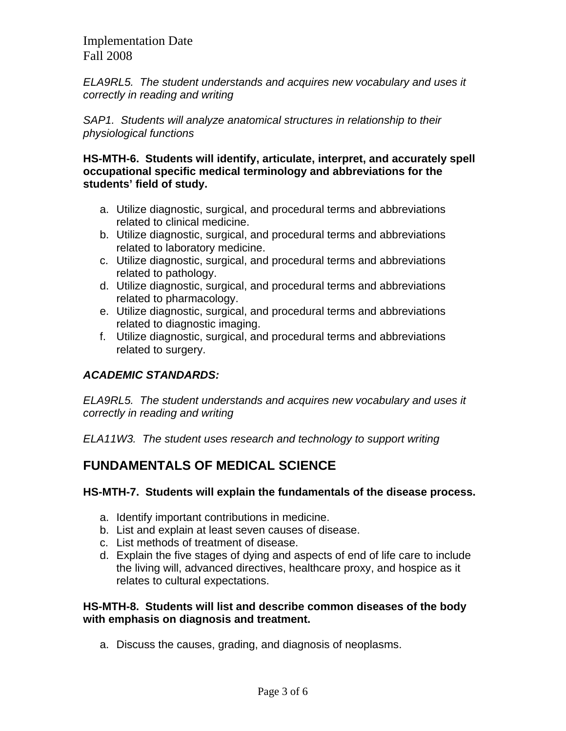*ELA9RL5. The student understands and acquires new vocabulary and uses it correctly in reading and writing* 

*SAP1. Students will analyze anatomical structures in relationship to their physiological functions* 

**HS-MTH-6. Students will identify, articulate, interpret, and accurately spell occupational specific medical terminology and abbreviations for the students' field of study.** 

- a. Utilize diagnostic, surgical, and procedural terms and abbreviations related to clinical medicine.
- b. Utilize diagnostic, surgical, and procedural terms and abbreviations related to laboratory medicine.
- c. Utilize diagnostic, surgical, and procedural terms and abbreviations related to pathology.
- d. Utilize diagnostic, surgical, and procedural terms and abbreviations related to pharmacology.
- e. Utilize diagnostic, surgical, and procedural terms and abbreviations related to diagnostic imaging.
- f. Utilize diagnostic, surgical, and procedural terms and abbreviations related to surgery.

## *ACADEMIC STANDARDS:*

*ELA9RL5. The student understands and acquires new vocabulary and uses it correctly in reading and writing* 

*ELA11W3. The student uses research and technology to support writing*

# **FUNDAMENTALS OF MEDICAL SCIENCE**

#### **HS-MTH-7. Students will explain the fundamentals of the disease process.**

- a. Identify important contributions in medicine.
- b. List and explain at least seven causes of disease.
- c. List methods of treatment of disease.
- d. Explain the five stages of dying and aspects of end of life care to include the living will, advanced directives, healthcare proxy, and hospice as it relates to cultural expectations.

#### **HS-MTH-8. Students will list and describe common diseases of the body with emphasis on diagnosis and treatment.**

a. Discuss the causes, grading, and diagnosis of neoplasms.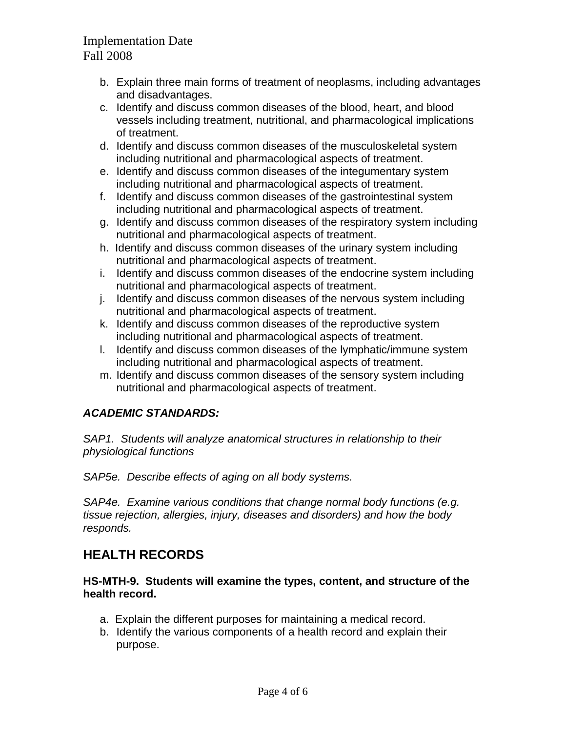- b. Explain three main forms of treatment of neoplasms, including advantages and disadvantages.
- c. Identify and discuss common diseases of the blood, heart, and blood vessels including treatment, nutritional, and pharmacological implications of treatment.
- d. Identify and discuss common diseases of the musculoskeletal system including nutritional and pharmacological aspects of treatment.
- e. Identify and discuss common diseases of the integumentary system including nutritional and pharmacological aspects of treatment.
- f. Identify and discuss common diseases of the gastrointestinal system including nutritional and pharmacological aspects of treatment.
- g. Identify and discuss common diseases of the respiratory system including nutritional and pharmacological aspects of treatment.
- h. Identify and discuss common diseases of the urinary system including nutritional and pharmacological aspects of treatment.
- i. Identify and discuss common diseases of the endocrine system including nutritional and pharmacological aspects of treatment.
- j. Identify and discuss common diseases of the nervous system including nutritional and pharmacological aspects of treatment.
- k. Identify and discuss common diseases of the reproductive system including nutritional and pharmacological aspects of treatment.
- l. Identify and discuss common diseases of the lymphatic/immune system including nutritional and pharmacological aspects of treatment.
- m. Identify and discuss common diseases of the sensory system including nutritional and pharmacological aspects of treatment.

## *ACADEMIC STANDARDS:*

*SAP1. Students will analyze anatomical structures in relationship to their physiological functions*

*SAP5e. Describe effects of aging on all body systems.* 

*SAP4e. Examine various conditions that change normal body functions (e.g. tissue rejection, allergies, injury, diseases and disorders) and how the body responds.* 

# **HEALTH RECORDS**

**HS-MTH-9. Students will examine the types, content, and structure of the health record.** 

- a. Explain the different purposes for maintaining a medical record.
- b. Identify the various components of a health record and explain their purpose.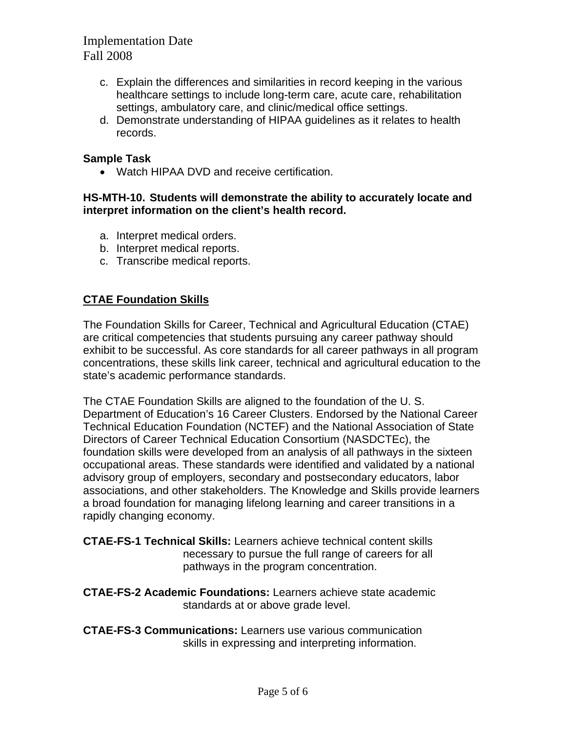- c. Explain the differences and similarities in record keeping in the various healthcare settings to include long-term care, acute care, rehabilitation settings, ambulatory care, and clinic/medical office settings.
- d. Demonstrate understanding of HIPAA guidelines as it relates to health records.

#### **Sample Task**

• Watch HIPAA DVD and receive certification.

#### **HS-MTH-10. Students will demonstrate the ability to accurately locate and interpret information on the client's health record.**

- a. Interpret medical orders.
- b. Interpret medical reports.
- c. Transcribe medical reports.

### **CTAE Foundation Skills**

The Foundation Skills for Career, Technical and Agricultural Education (CTAE) are critical competencies that students pursuing any career pathway should exhibit to be successful. As core standards for all career pathways in all program concentrations, these skills link career, technical and agricultural education to the state's academic performance standards.

The CTAE Foundation Skills are aligned to the foundation of the U. S. Department of Education's 16 Career Clusters. Endorsed by the National Career Technical Education Foundation (NCTEF) and the National Association of State Directors of Career Technical Education Consortium (NASDCTEc), the foundation skills were developed from an analysis of all pathways in the sixteen occupational areas. These standards were identified and validated by a national advisory group of employers, secondary and postsecondary educators, labor associations, and other stakeholders. The Knowledge and Skills provide learners a broad foundation for managing lifelong learning and career transitions in a rapidly changing economy.

**CTAE-FS-1 Technical Skills:** Learners achieve technical content skills necessary to pursue the full range of careers for all pathways in the program concentration.

**CTAE-FS-2 Academic Foundations:** Learners achieve state academic standards at or above grade level.

**CTAE-FS-3 Communications:** Learners use various communication skills in expressing and interpreting information.